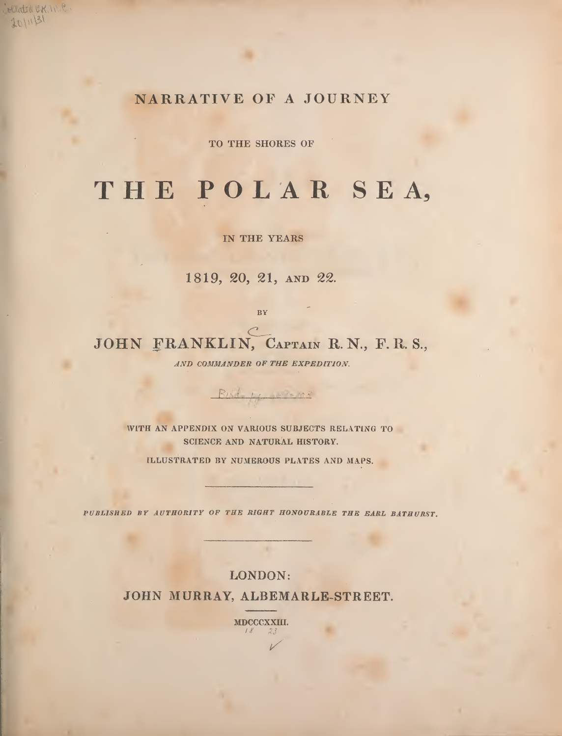NARRATIVE OF A JOURNEY

eliated OK, INC  $101131$ 

TO THE SHORES OF

## THE POLAR SEA,

IN THE YEARS

1819, 20, 21, AND 22.

BY

JOHN FRANKLIN, CAPTAIN R.N., F.R.S.,

AND COMMANDER OF THE EXPEDITION.

Built Harmons

WITH AN APPENDIX ON VARIOUS SUBJECTS RELATING TO SCIENCE AND NATURAL HISTORY.

ILLUSTRATED BY NUMEROUS PLATES AND MAPS.

PUBLISHED BY AUTHORITY OF THE RIGHT HONOURABLE THE EARL BATHURST.

LONDON: JOHN MURRAY, ALBEMARLE-STREET.

> MDCCCXXIII.  $23$